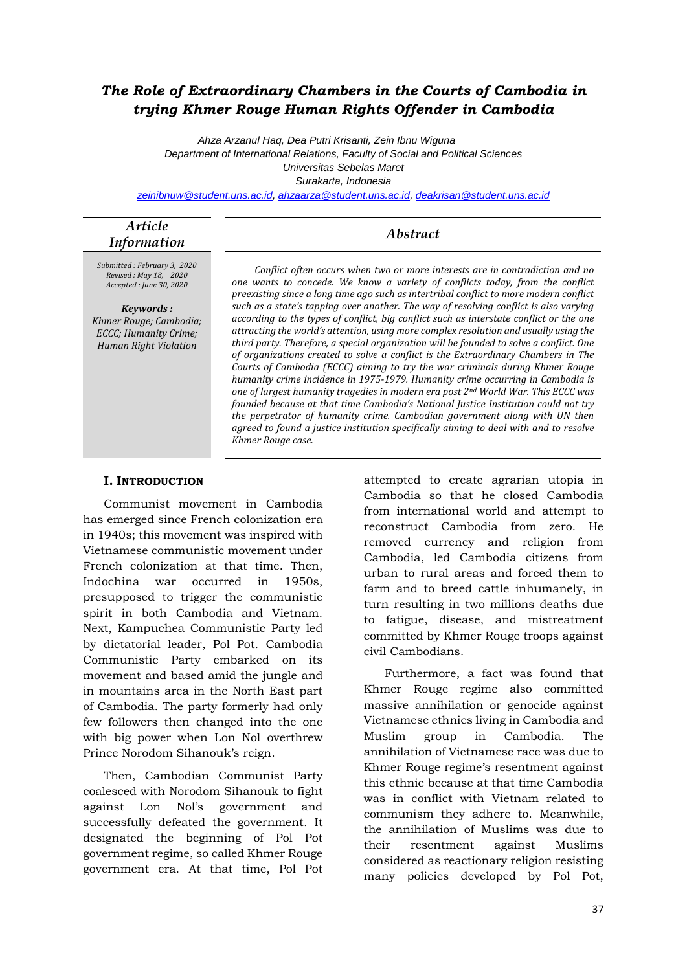# *The Role of Extraordinary Chambers in the Courts of Cambodia in trying Khmer Rouge Human Rights Offender in Cambodia*

*Ahza Arzanul Haq, Dea Putri Krisanti, Zein Ibnu Wiguna Department of International Relations, Faculty of Social and Political Sciences Universitas Sebelas Maret*

*Surakarta, Indonesia*

*[zeinibnuw@student.uns.ac.id,](mailto:zeinibnuw@student.uns.ac.id) [ahzaarza@student.uns.ac.id,](mailto:ahzaarza@student.uns.ac.id) [deakrisan@student.uns.ac.id](mailto:deakrisan@student.uns.ac.id)*

### *Article Information Abstract*

*Submitted : February 3, 2020 Revised : May 18, 2020 Accepted : June 30, 2020*

*Keywords : Khmer Rouge; Cambodia; ECCC; Humanity Crime; Human Right Violation*

*Conflict often occurs when two or more interests are in contradiction and no one wants to concede. We know a variety of conflicts today, from the conflict preexisting since a long time ago such as intertribal conflict to more modern conflict such as a state's tapping over another. The way of resolving conflict is also varying according to the types of conflict, big conflict such as interstate conflict or the one attracting the world's attention, using more complex resolution and usually using the third party. Therefore, a special organization will be founded to solve a conflict. One of organizations created to solve a conflict is the Extraordinary Chambers in The Courts of Cambodia (ECCC) aiming to try the war criminals during Khmer Rouge humanity crime incidence in 1975-1979. Humanity crime occurring in Cambodia is one of largest humanity tragedies in modern era post 2nd World War. This ECCC was founded because at that time Cambodia's National Justice Institution could not try the perpetrator of humanity crime. Cambodian government along with UN then agreed to found a justice institution specifically aiming to deal with and to resolve Khmer Rouge case.*

#### **I. INTRODUCTION**

Communist movement in Cambodia has emerged since French colonization era in 1940s; this movement was inspired with Vietnamese communistic movement under French colonization at that time. Then, Indochina war occurred in 1950s, presupposed to trigger the communistic spirit in both Cambodia and Vietnam. Next, Kampuchea Communistic Party led by dictatorial leader, Pol Pot. Cambodia Communistic Party embarked on its movement and based amid the jungle and in mountains area in the North East part of Cambodia. The party formerly had only few followers then changed into the one with big power when Lon Nol overthrew Prince Norodom Sihanouk's reign.

Then, Cambodian Communist Party coalesced with Norodom Sihanouk to fight against Lon Nol's government and successfully defeated the government. It designated the beginning of Pol Pot government regime, so called Khmer Rouge government era. At that time, Pol Pot attempted to create agrarian utopia in Cambodia so that he closed Cambodia from international world and attempt to reconstruct Cambodia from zero. He removed currency and religion from Cambodia, led Cambodia citizens from urban to rural areas and forced them to farm and to breed cattle inhumanely, in turn resulting in two millions deaths due to fatigue, disease, and mistreatment committed by Khmer Rouge troops against civil Cambodians.

Furthermore, a fact was found that Khmer Rouge regime also committed massive annihilation or genocide against Vietnamese ethnics living in Cambodia and Muslim group in Cambodia. The annihilation of Vietnamese race was due to Khmer Rouge regime's resentment against this ethnic because at that time Cambodia was in conflict with Vietnam related to communism they adhere to. Meanwhile, the annihilation of Muslims was due to their resentment against Muslims considered as reactionary religion resisting many policies developed by Pol Pot,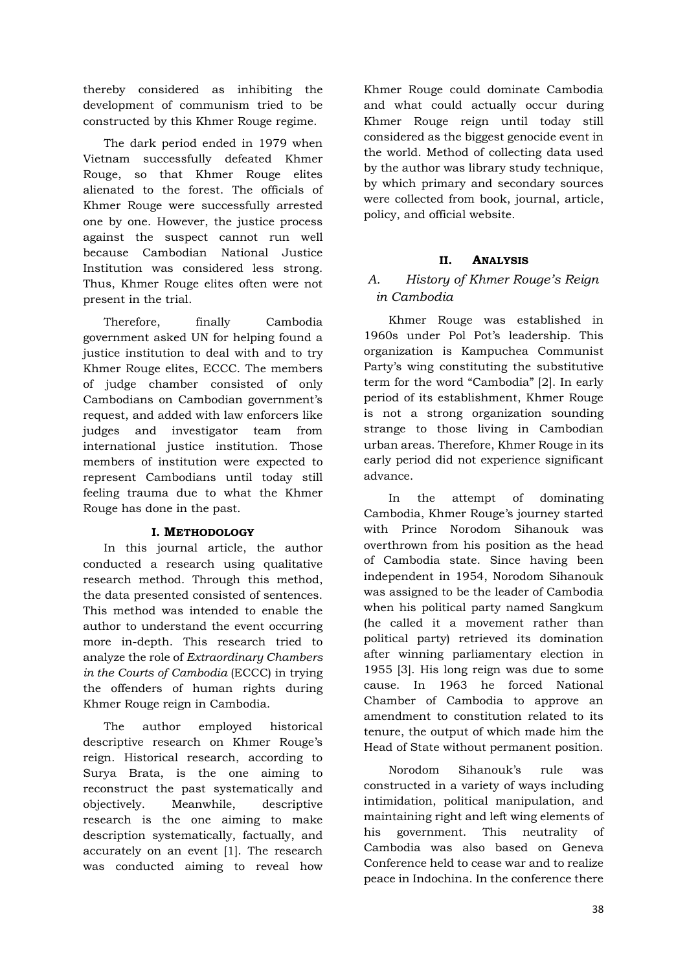thereby considered as inhibiting the development of communism tried to be constructed by this Khmer Rouge regime.

The dark period ended in 1979 when Vietnam successfully defeated Khmer Rouge, so that Khmer Rouge elites alienated to the forest. The officials of Khmer Rouge were successfully arrested one by one. However, the justice process against the suspect cannot run well because Cambodian National Justice Institution was considered less strong. Thus, Khmer Rouge elites often were not present in the trial.

Therefore, finally Cambodia government asked UN for helping found a justice institution to deal with and to try Khmer Rouge elites, ECCC. The members of judge chamber consisted of only Cambodians on Cambodian government's request, and added with law enforcers like judges and investigator team from international justice institution. Those members of institution were expected to represent Cambodians until today still feeling trauma due to what the Khmer Rouge has done in the past.

#### **I. METHODOLOGY**

In this journal article, the author conducted a research using qualitative research method. Through this method, the data presented consisted of sentences. This method was intended to enable the author to understand the event occurring more in-depth. This research tried to analyze the role of *Extraordinary Chambers in the Courts of Cambodia* (ECCC) in trying the offenders of human rights during Khmer Rouge reign in Cambodia.

The author employed historical descriptive research on Khmer Rouge's reign. Historical research, according to Surya Brata, is the one aiming to reconstruct the past systematically and objectively. Meanwhile, descriptive research is the one aiming to make description systematically, factually, and accurately on an event [1]. The research was conducted aiming to reveal how

Khmer Rouge could dominate Cambodia and what could actually occur during Khmer Rouge reign until today still considered as the biggest genocide event in the world. Method of collecting data used by the author was library study technique, by which primary and secondary sources were collected from book, journal, article, policy, and official website.

### **II. ANALYSIS**

## *A. History of Khmer Rouge's Reign in Cambodia*

Khmer Rouge was established in 1960s under Pol Pot's leadership. This organization is Kampuchea Communist Party's wing constituting the substitutive term for the word "Cambodia" [2]. In early period of its establishment, Khmer Rouge is not a strong organization sounding strange to those living in Cambodian urban areas. Therefore, Khmer Rouge in its early period did not experience significant advance.

In the attempt of dominating Cambodia, Khmer Rouge's journey started with Prince Norodom Sihanouk was overthrown from his position as the head of Cambodia state. Since having been independent in 1954, Norodom Sihanouk was assigned to be the leader of Cambodia when his political party named Sangkum (he called it a movement rather than political party) retrieved its domination after winning parliamentary election in 1955 [3]. His long reign was due to some cause. In 1963 he forced National Chamber of Cambodia to approve an amendment to constitution related to its tenure, the output of which made him the Head of State without permanent position.

Norodom Sihanouk's rule was constructed in a variety of ways including intimidation, political manipulation, and maintaining right and left wing elements of his government. This neutrality of Cambodia was also based on Geneva Conference held to cease war and to realize peace in Indochina. In the conference there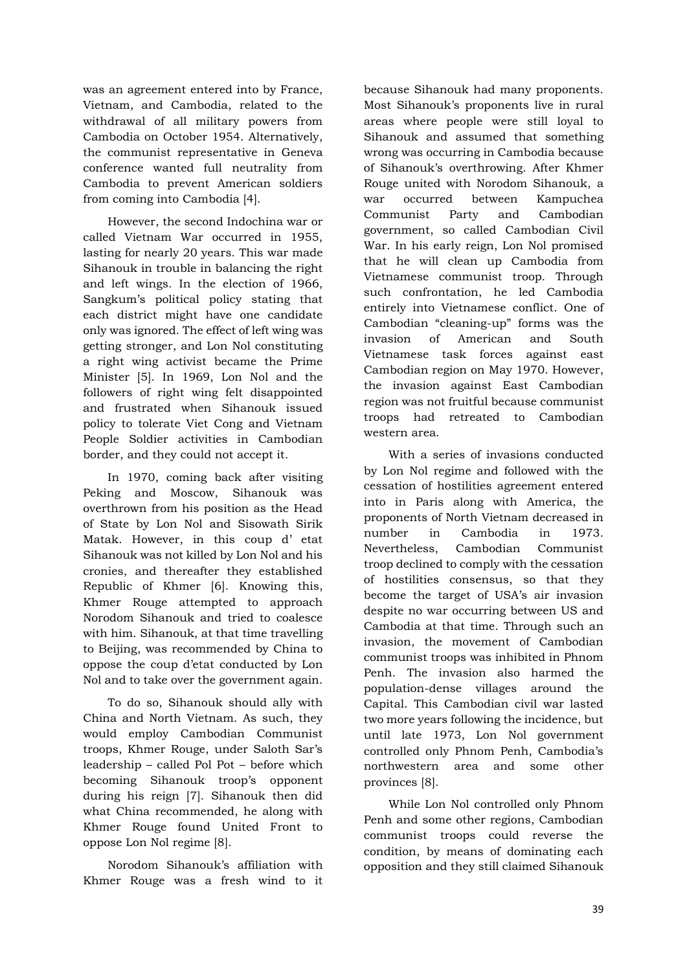was an agreement entered into by France, Vietnam, and Cambodia, related to the withdrawal of all military powers from Cambodia on October 1954. Alternatively, the communist representative in Geneva conference wanted full neutrality from Cambodia to prevent American soldiers from coming into Cambodia [4].

However, the second Indochina war or called Vietnam War occurred in 1955, lasting for nearly 20 years. This war made Sihanouk in trouble in balancing the right and left wings. In the election of 1966, Sangkum's political policy stating that each district might have one candidate only was ignored. The effect of left wing was getting stronger, and Lon Nol constituting a right wing activist became the Prime Minister [5]. In 1969, Lon Nol and the followers of right wing felt disappointed and frustrated when Sihanouk issued policy to tolerate Viet Cong and Vietnam People Soldier activities in Cambodian border, and they could not accept it.

In 1970, coming back after visiting Peking and Moscow, Sihanouk was overthrown from his position as the Head of State by Lon Nol and Sisowath Sirik Matak. However, in this coup d' etat Sihanouk was not killed by Lon Nol and his cronies, and thereafter they established Republic of Khmer [6]. Knowing this, Khmer Rouge attempted to approach Norodom Sihanouk and tried to coalesce with him. Sihanouk, at that time travelling to Beijing, was recommended by China to oppose the coup d'etat conducted by Lon Nol and to take over the government again.

To do so, Sihanouk should ally with China and North Vietnam. As such, they would employ Cambodian Communist troops, Khmer Rouge, under Saloth Sar's leadership – called Pol Pot – before which becoming Sihanouk troop's opponent during his reign [7]. Sihanouk then did what China recommended, he along with Khmer Rouge found United Front to oppose Lon Nol regime [8].

Norodom Sihanouk's affiliation with Khmer Rouge was a fresh wind to it

because Sihanouk had many proponents. Most Sihanouk's proponents live in rural areas where people were still loyal to Sihanouk and assumed that something wrong was occurring in Cambodia because of Sihanouk's overthrowing. After Khmer Rouge united with Norodom Sihanouk, a war occurred between Kampuchea Communist Party and Cambodian government, so called Cambodian Civil War. In his early reign, Lon Nol promised that he will clean up Cambodia from Vietnamese communist troop. Through such confrontation, he led Cambodia entirely into Vietnamese conflict. One of Cambodian "cleaning-up" forms was the invasion of American and South Vietnamese task forces against east Cambodian region on May 1970. However, the invasion against East Cambodian region was not fruitful because communist troops had retreated to Cambodian western area.

With a series of invasions conducted by Lon Nol regime and followed with the cessation of hostilities agreement entered into in Paris along with America, the proponents of North Vietnam decreased in number in Cambodia in 1973. Nevertheless, Cambodian Communist troop declined to comply with the cessation of hostilities consensus, so that they become the target of USA's air invasion despite no war occurring between US and Cambodia at that time. Through such an invasion, the movement of Cambodian communist troops was inhibited in Phnom Penh. The invasion also harmed the population-dense villages around the Capital. This Cambodian civil war lasted two more years following the incidence, but until late 1973, Lon Nol government controlled only Phnom Penh, Cambodia's northwestern area and some other provinces [8].

While Lon Nol controlled only Phnom Penh and some other regions, Cambodian communist troops could reverse the condition, by means of dominating each opposition and they still claimed Sihanouk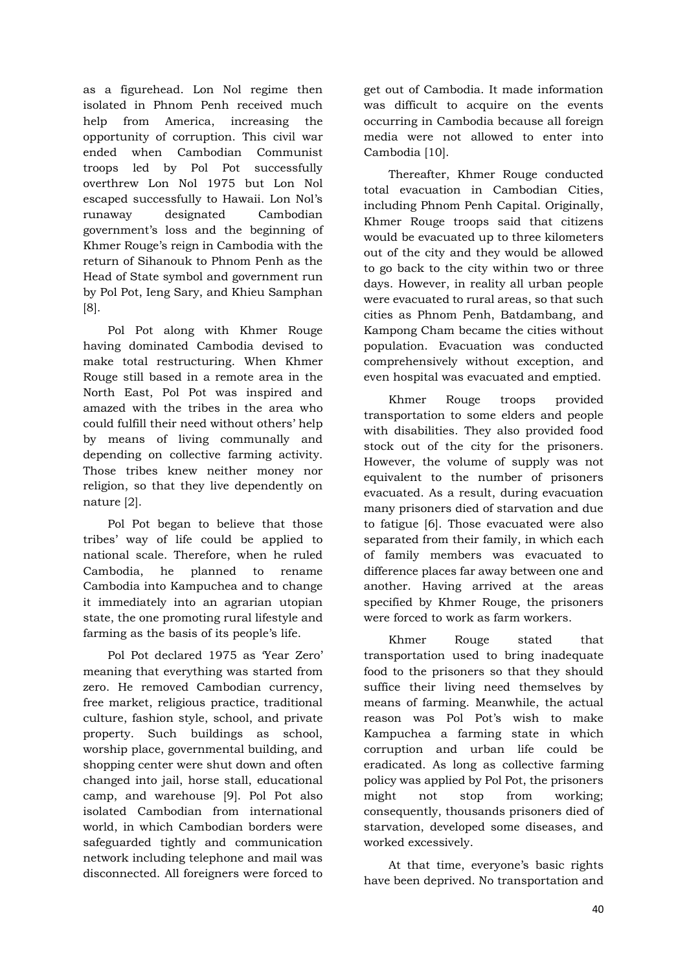as a figurehead. Lon Nol regime then isolated in Phnom Penh received much help from America, increasing the opportunity of corruption. This civil war ended when Cambodian Communist troops led by Pol Pot successfully overthrew Lon Nol 1975 but Lon Nol escaped successfully to Hawaii. Lon Nol's runaway designated Cambodian government's loss and the beginning of Khmer Rouge's reign in Cambodia with the return of Sihanouk to Phnom Penh as the Head of State symbol and government run by Pol Pot, Ieng Sary, and Khieu Samphan [8].

Pol Pot along with Khmer Rouge having dominated Cambodia devised to make total restructuring. When Khmer Rouge still based in a remote area in the North East, Pol Pot was inspired and amazed with the tribes in the area who could fulfill their need without others' help by means of living communally and depending on collective farming activity. Those tribes knew neither money nor religion, so that they live dependently on nature [2].

Pol Pot began to believe that those tribes' way of life could be applied to national scale. Therefore, when he ruled Cambodia, he planned to rename Cambodia into Kampuchea and to change it immediately into an agrarian utopian state, the one promoting rural lifestyle and farming as the basis of its people's life.

Pol Pot declared 1975 as 'Year Zero' meaning that everything was started from zero. He removed Cambodian currency, free market, religious practice, traditional culture, fashion style, school, and private property. Such buildings as school, worship place, governmental building, and shopping center were shut down and often changed into jail, horse stall, educational camp, and warehouse [9]. Pol Pot also isolated Cambodian from international world, in which Cambodian borders were safeguarded tightly and communication network including telephone and mail was disconnected. All foreigners were forced to

get out of Cambodia. It made information was difficult to acquire on the events occurring in Cambodia because all foreign media were not allowed to enter into Cambodia [10].

Thereafter, Khmer Rouge conducted total evacuation in Cambodian Cities, including Phnom Penh Capital. Originally, Khmer Rouge troops said that citizens would be evacuated up to three kilometers out of the city and they would be allowed to go back to the city within two or three days. However, in reality all urban people were evacuated to rural areas, so that such cities as Phnom Penh, Batdambang, and Kampong Cham became the cities without population. Evacuation was conducted comprehensively without exception, and even hospital was evacuated and emptied.

Khmer Rouge troops provided transportation to some elders and people with disabilities. They also provided food stock out of the city for the prisoners. However, the volume of supply was not equivalent to the number of prisoners evacuated. As a result, during evacuation many prisoners died of starvation and due to fatigue [6]. Those evacuated were also separated from their family, in which each of family members was evacuated to difference places far away between one and another. Having arrived at the areas specified by Khmer Rouge, the prisoners were forced to work as farm workers.

Khmer Rouge stated that transportation used to bring inadequate food to the prisoners so that they should suffice their living need themselves by means of farming. Meanwhile, the actual reason was Pol Pot's wish to make Kampuchea a farming state in which corruption and urban life could be eradicated. As long as collective farming policy was applied by Pol Pot, the prisoners might not stop from working; consequently, thousands prisoners died of starvation, developed some diseases, and worked excessively.

At that time, everyone's basic rights have been deprived. No transportation and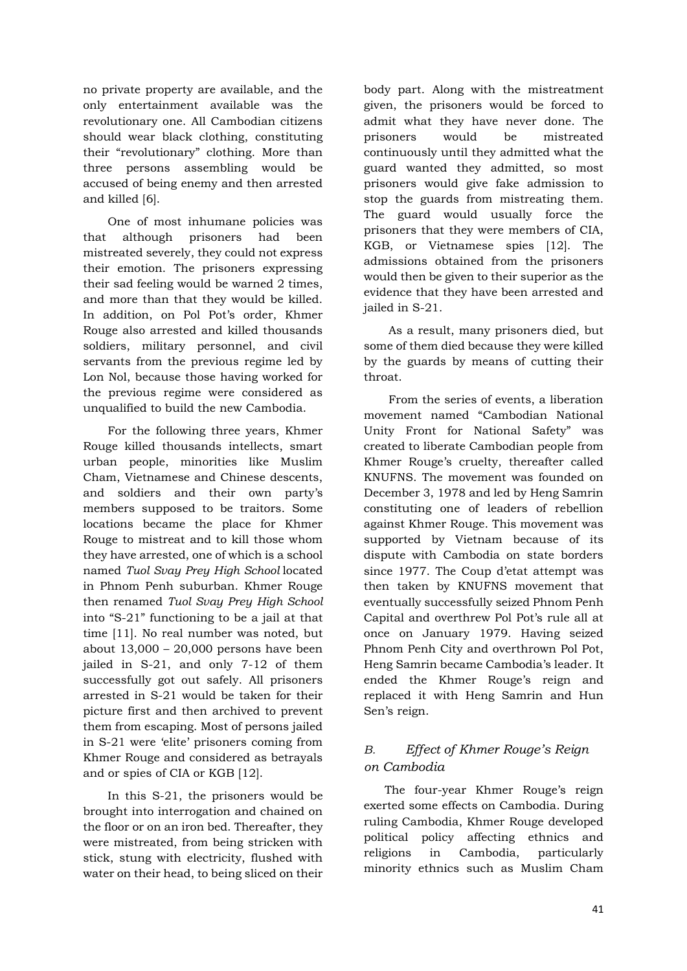no private property are available, and the only entertainment available was the revolutionary one. All Cambodian citizens should wear black clothing, constituting their "revolutionary" clothing. More than three persons assembling would be accused of being enemy and then arrested and killed [6].

One of most inhumane policies was that although prisoners had been mistreated severely, they could not express their emotion. The prisoners expressing their sad feeling would be warned 2 times, and more than that they would be killed. In addition, on Pol Pot's order, Khmer Rouge also arrested and killed thousands soldiers, military personnel, and civil servants from the previous regime led by Lon Nol, because those having worked for the previous regime were considered as unqualified to build the new Cambodia.

For the following three years, Khmer Rouge killed thousands intellects, smart urban people, minorities like Muslim Cham, Vietnamese and Chinese descents, and soldiers and their own party's members supposed to be traitors. Some locations became the place for Khmer Rouge to mistreat and to kill those whom they have arrested, one of which is a school named *Tuol Svay Prey High School* located in Phnom Penh suburban. Khmer Rouge then renamed *Tuol Svay Prey High School* into "S-21" functioning to be a jail at that time [11]. No real number was noted, but about 13,000 – 20,000 persons have been jailed in S-21, and only 7-12 of them successfully got out safely. All prisoners arrested in S-21 would be taken for their picture first and then archived to prevent them from escaping. Most of persons jailed in S-21 were 'elite' prisoners coming from Khmer Rouge and considered as betrayals and or spies of CIA or KGB [12].

In this S-21, the prisoners would be brought into interrogation and chained on the floor or on an iron bed. Thereafter, they were mistreated, from being stricken with stick, stung with electricity, flushed with water on their head, to being sliced on their

body part. Along with the mistreatment given, the prisoners would be forced to admit what they have never done. The prisoners would be mistreated continuously until they admitted what the guard wanted they admitted, so most prisoners would give fake admission to stop the guards from mistreating them. The guard would usually force the prisoners that they were members of CIA, KGB, or Vietnamese spies [12]. The admissions obtained from the prisoners would then be given to their superior as the evidence that they have been arrested and jailed in S-21.

As a result, many prisoners died, but some of them died because they were killed by the guards by means of cutting their throat.

From the series of events, a liberation movement named "Cambodian National Unity Front for National Safety" was created to liberate Cambodian people from Khmer Rouge's cruelty, thereafter called KNUFNS. The movement was founded on December 3, 1978 and led by Heng Samrin constituting one of leaders of rebellion against Khmer Rouge. This movement was supported by Vietnam because of its dispute with Cambodia on state borders since 1977. The Coup d'etat attempt was then taken by KNUFNS movement that eventually successfully seized Phnom Penh Capital and overthrew Pol Pot's rule all at once on January 1979. Having seized Phnom Penh City and overthrown Pol Pot, Heng Samrin became Cambodia's leader. It ended the Khmer Rouge's reign and replaced it with Heng Samrin and Hun Sen's reign.

## *B. Effect of Khmer Rouge's Reign on Cambodia*

The four-year Khmer Rouge's reign exerted some effects on Cambodia. During ruling Cambodia, Khmer Rouge developed political policy affecting ethnics and religions in Cambodia, particularly minority ethnics such as Muslim Cham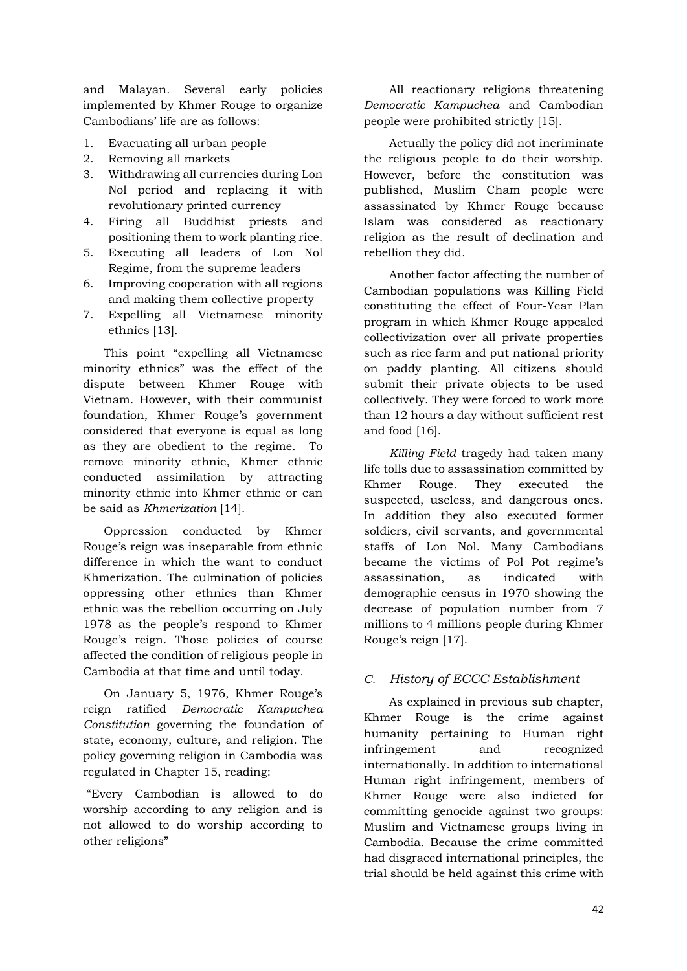and Malayan. Several early policies implemented by Khmer Rouge to organize Cambodians' life are as follows:

- 1. Evacuating all urban people
- 2. Removing all markets
- 3. Withdrawing all currencies during Lon Nol period and replacing it with revolutionary printed currency
- 4. Firing all Buddhist priests and positioning them to work planting rice.
- 5. Executing all leaders of Lon Nol Regime, from the supreme leaders
- 6. Improving cooperation with all regions and making them collective property
- 7. Expelling all Vietnamese minority ethnics [13].

This point "expelling all Vietnamese minority ethnics" was the effect of the dispute between Khmer Rouge with Vietnam. However, with their communist foundation, Khmer Rouge's government considered that everyone is equal as long as they are obedient to the regime. To remove minority ethnic, Khmer ethnic conducted assimilation by attracting minority ethnic into Khmer ethnic or can be said as *Khmerization* [14].

Oppression conducted by Khmer Rouge's reign was inseparable from ethnic difference in which the want to conduct Khmerization. The culmination of policies oppressing other ethnics than Khmer ethnic was the rebellion occurring on July 1978 as the people's respond to Khmer Rouge's reign. Those policies of course affected the condition of religious people in Cambodia at that time and until today.

On January 5, 1976, Khmer Rouge's reign ratified *Democratic Kampuchea Constitution* governing the foundation of state, economy, culture, and religion. The policy governing religion in Cambodia was regulated in Chapter 15, reading:

"Every Cambodian is allowed to do worship according to any religion and is not allowed to do worship according to other religions"

All reactionary religions threatening *Democratic Kampuchea* and Cambodian people were prohibited strictly [15].

Actually the policy did not incriminate the religious people to do their worship. However, before the constitution was published, Muslim Cham people were assassinated by Khmer Rouge because Islam was considered as reactionary religion as the result of declination and rebellion they did.

Another factor affecting the number of Cambodian populations was Killing Field constituting the effect of Four-Year Plan program in which Khmer Rouge appealed collectivization over all private properties such as rice farm and put national priority on paddy planting. All citizens should submit their private objects to be used collectively. They were forced to work more than 12 hours a day without sufficient rest and food [16].

*Killing Field* tragedy had taken many life tolls due to assassination committed by Khmer Rouge. They executed the suspected, useless, and dangerous ones. In addition they also executed former soldiers, civil servants, and governmental staffs of Lon Nol. Many Cambodians became the victims of Pol Pot regime's assassination, as indicated with demographic census in 1970 showing the decrease of population number from 7 millions to 4 millions people during Khmer Rouge's reign [17].

### *C. History of ECCC Establishment*

As explained in previous sub chapter, Khmer Rouge is the crime against humanity pertaining to Human right infringement and recognized internationally. In addition to international Human right infringement, members of Khmer Rouge were also indicted for committing genocide against two groups: Muslim and Vietnamese groups living in Cambodia. Because the crime committed had disgraced international principles, the trial should be held against this crime with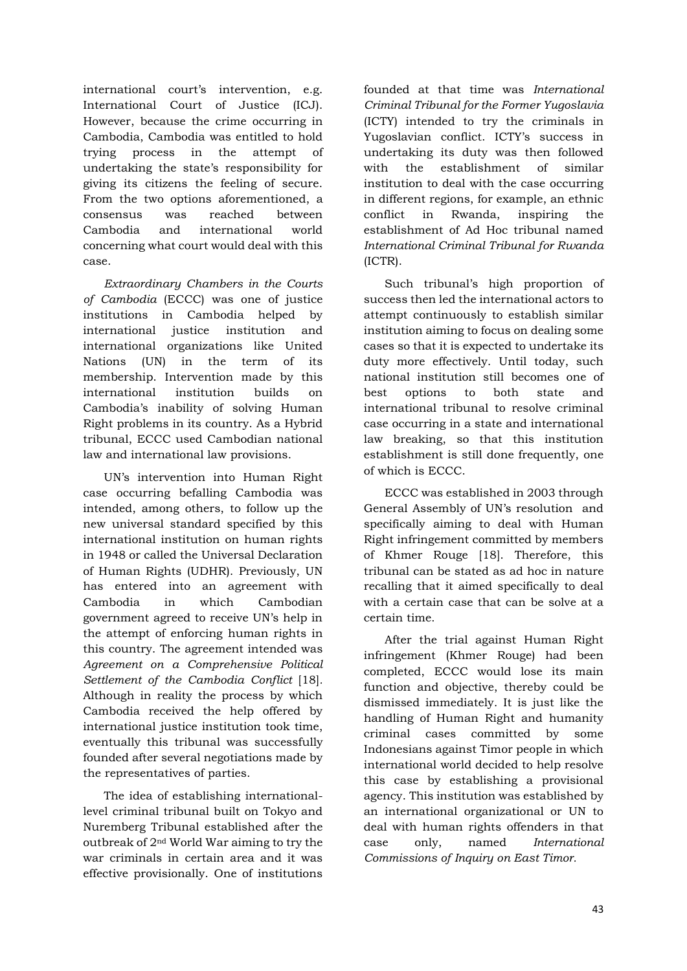international court's intervention, e.g. International Court of Justice (ICJ). However, because the crime occurring in Cambodia, Cambodia was entitled to hold trying process in the attempt of undertaking the state's responsibility for giving its citizens the feeling of secure. From the two options aforementioned, a consensus was reached between Cambodia and international world concerning what court would deal with this case.

*Extraordinary Chambers in the Courts of Cambodia* (ECCC) was one of justice institutions in Cambodia helped by international justice institution and international organizations like United Nations (UN) in the term of its membership. Intervention made by this international institution builds on Cambodia's inability of solving Human Right problems in its country. As a Hybrid tribunal, ECCC used Cambodian national law and international law provisions.

UN's intervention into Human Right case occurring befalling Cambodia was intended, among others, to follow up the new universal standard specified by this international institution on human rights in 1948 or called the Universal Declaration of Human Rights (UDHR). Previously, UN has entered into an agreement with Cambodia in which Cambodian government agreed to receive UN's help in the attempt of enforcing human rights in this country. The agreement intended was *Agreement on a Comprehensive Political Settlement of the Cambodia Conflict* [18]*.* Although in reality the process by which Cambodia received the help offered by international justice institution took time, eventually this tribunal was successfully founded after several negotiations made by the representatives of parties.

The idea of establishing internationallevel criminal tribunal built on Tokyo and Nuremberg Tribunal established after the outbreak of 2nd World War aiming to try the war criminals in certain area and it was effective provisionally. One of institutions

founded at that time was *International Criminal Tribunal for the Former Yugoslavia* (ICTY) intended to try the criminals in Yugoslavian conflict. ICTY's success in undertaking its duty was then followed with the establishment of similar institution to deal with the case occurring in different regions, for example, an ethnic conflict in Rwanda, inspiring the establishment of Ad Hoc tribunal named *International Criminal Tribunal for Rwanda*  (ICTR).

Such tribunal's high proportion of success then led the international actors to attempt continuously to establish similar institution aiming to focus on dealing some cases so that it is expected to undertake its duty more effectively. Until today, such national institution still becomes one of best options to both state and international tribunal to resolve criminal case occurring in a state and international law breaking, so that this institution establishment is still done frequently, one of which is ECCC.

ECCC was established in 2003 through General Assembly of UN's resolution and specifically aiming to deal with Human Right infringement committed by members of Khmer Rouge [18]. Therefore, this tribunal can be stated as ad hoc in nature recalling that it aimed specifically to deal with a certain case that can be solve at a certain time.

After the trial against Human Right infringement (Khmer Rouge) had been completed, ECCC would lose its main function and objective, thereby could be dismissed immediately. It is just like the handling of Human Right and humanity criminal cases committed by some Indonesians against Timor people in which international world decided to help resolve this case by establishing a provisional agency. This institution was established by an international organizational or UN to deal with human rights offenders in that case only, named *International Commissions of Inquiry on East Timor.*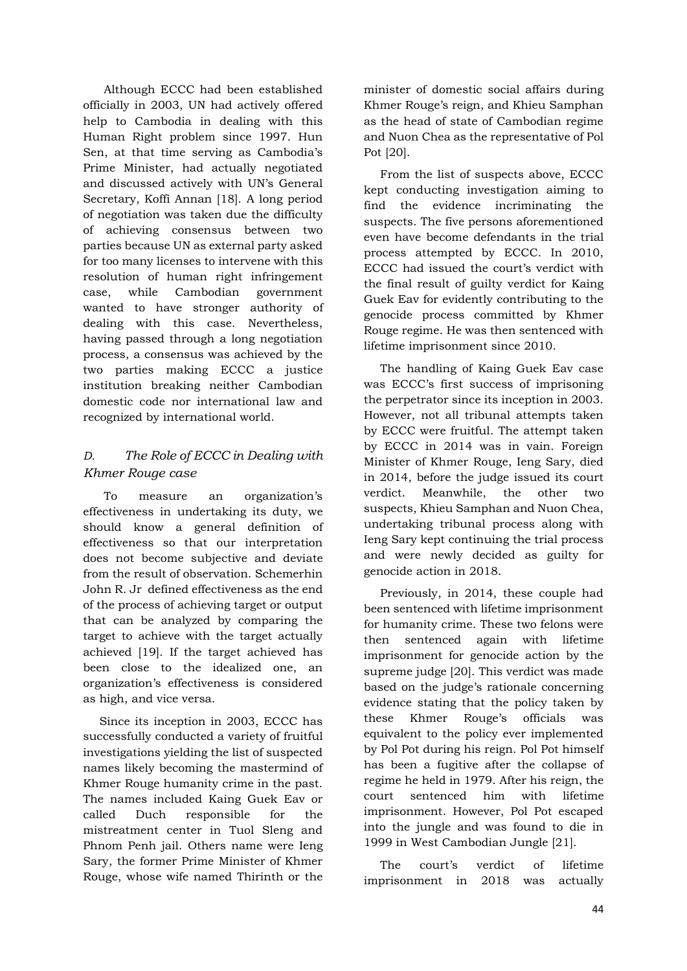Although ECCC had been established officially in 2003, UN had actively offered help to Cambodia in dealing with this Human Right problem since 1997. Hun Sen, at that time serving as Cambodia's Prime Minister, had actually negotiated and discussed actively with UN's General Secretary, Koffi Annan [18]. A long period of negotiation was taken due the difficulty of achieving consensus between two parties because UN as external party asked for too many licenses to intervene with this resolution of human right infringement case, while Cambodian government wanted to have stronger authority of dealing with this case. Nevertheless, having passed through a long negotiation process, a consensus was achieved by the two parties making ECCC a justice institution breaking neither Cambodian domestic code nor international law and recognized by international world.

## *D. The Role of ECCC in Dealing with Khmer Rouge case*

To measure an organization's effectiveness in undertaking its duty, we should know a general definition of effectiveness so that our interpretation does not become subjective and deviate from the result of observation. Schemerhin John R. Jr defined effectiveness as the end of the process of achieving target or output that can be analyzed by comparing the target to achieve with the target actually achieved [19]. If the target achieved has been close to the idealized one, an organization's effectiveness is considered as high, and vice versa.

Since its inception in 2003, ECCC has successfully conducted a variety of fruitful investigations yielding the list of suspected names likely becoming the mastermind of Khmer Rouge humanity crime in the past. The names included Kaing Guek Eav or called Duch responsible for the mistreatment center in Tuol Sleng and Phnom Penh jail. Others name were Ieng Sary, the former Prime Minister of Khmer Rouge, whose wife named Thirinth or the

minister of domestic social affairs during Khmer Rouge's reign, and Khieu Samphan as the head of state of Cambodian regime and Nuon Chea as the representative of Pol Pot [20].

From the list of suspects above, ECCC kept conducting investigation aiming to find the evidence incriminating the suspects. The five persons aforementioned even have become defendants in the trial process attempted by ECCC. In 2010, ECCC had issued the court's verdict with the final result of guilty verdict for Kaing Guek Eav for evidently contributing to the genocide process committed by Khmer Rouge regime. He was then sentenced with lifetime imprisonment since 2010.

The handling of Kaing Guek Eav case was ECCC's first success of imprisoning the perpetrator since its inception in 2003. However, not all tribunal attempts taken by ECCC were fruitful. The attempt taken by ECCC in 2014 was in vain. Foreign Minister of Khmer Rouge, Ieng Sary, died in 2014, before the judge issued its court verdict. Meanwhile, the other two suspects, Khieu Samphan and Nuon Chea, undertaking tribunal process along with Ieng Sary kept continuing the trial process and were newly decided as guilty for genocide action in 2018.

Previously, in 2014, these couple had been sentenced with lifetime imprisonment for humanity crime. These two felons were then sentenced again with lifetime imprisonment for genocide action by the supreme judge [20]. This verdict was made based on the judge's rationale concerning evidence stating that the policy taken by these Khmer Rouge's officials was equivalent to the policy ever implemented by Pol Pot during his reign. Pol Pot himself has been a fugitive after the collapse of regime he held in 1979. After his reign, the court sentenced him with lifetime imprisonment. However, Pol Pot escaped into the jungle and was found to die in 1999 in West Cambodian Jungle [21].

The court's verdict of lifetime imprisonment in 2018 was actually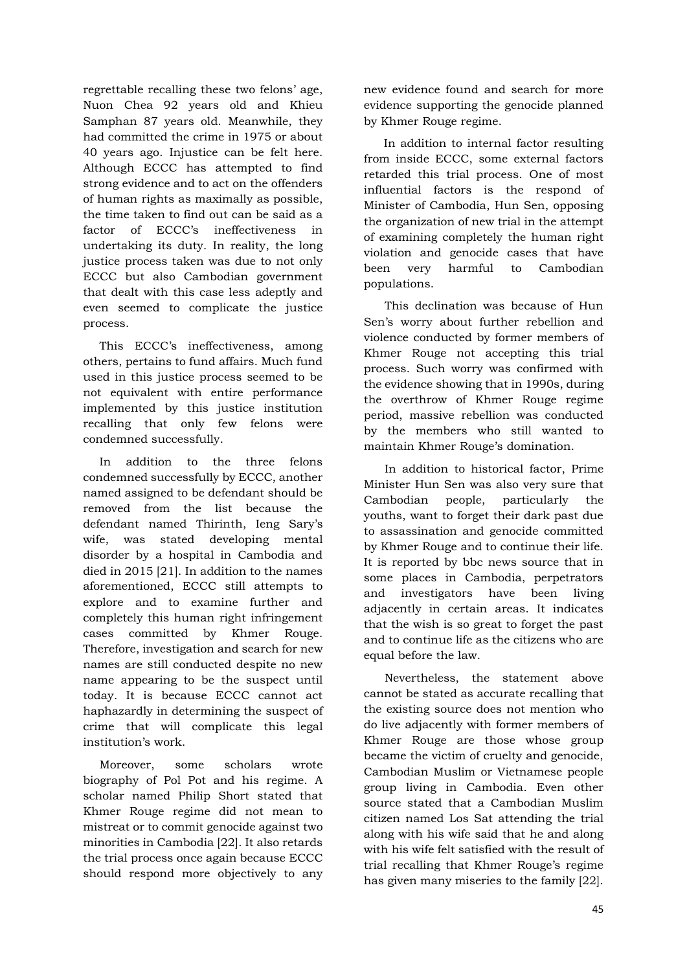regrettable recalling these two felons' age, Nuon Chea 92 years old and Khieu Samphan 87 years old. Meanwhile, they had committed the crime in 1975 or about 40 years ago. Injustice can be felt here. Although ECCC has attempted to find strong evidence and to act on the offenders of human rights as maximally as possible, the time taken to find out can be said as a factor of ECCC's ineffectiveness in undertaking its duty. In reality, the long justice process taken was due to not only ECCC but also Cambodian government that dealt with this case less adeptly and even seemed to complicate the justice process.

This ECCC's ineffectiveness, among others, pertains to fund affairs. Much fund used in this justice process seemed to be not equivalent with entire performance implemented by this justice institution recalling that only few felons were condemned successfully.

In addition to the three felons condemned successfully by ECCC, another named assigned to be defendant should be removed from the list because the defendant named Thirinth, Ieng Sary's wife, was stated developing mental disorder by a hospital in Cambodia and died in 2015 [21]. In addition to the names aforementioned, ECCC still attempts to explore and to examine further and completely this human right infringement cases committed by Khmer Rouge. Therefore, investigation and search for new names are still conducted despite no new name appearing to be the suspect until today. It is because ECCC cannot act haphazardly in determining the suspect of crime that will complicate this legal institution's work.

Moreover, some scholars wrote biography of Pol Pot and his regime. A scholar named Philip Short stated that Khmer Rouge regime did not mean to mistreat or to commit genocide against two minorities in Cambodia [22]. It also retards the trial process once again because ECCC should respond more objectively to any

new evidence found and search for more evidence supporting the genocide planned by Khmer Rouge regime.

In addition to internal factor resulting from inside ECCC, some external factors retarded this trial process. One of most influential factors is the respond of Minister of Cambodia, Hun Sen, opposing the organization of new trial in the attempt of examining completely the human right violation and genocide cases that have been very harmful to Cambodian populations.

This declination was because of Hun Sen's worry about further rebellion and violence conducted by former members of Khmer Rouge not accepting this trial process. Such worry was confirmed with the evidence showing that in 1990s, during the overthrow of Khmer Rouge regime period, massive rebellion was conducted by the members who still wanted to maintain Khmer Rouge's domination.

In addition to historical factor, Prime Minister Hun Sen was also very sure that Cambodian people, particularly the youths, want to forget their dark past due to assassination and genocide committed by Khmer Rouge and to continue their life. It is reported by bbc news source that in some places in Cambodia, perpetrators and investigators have been living adjacently in certain areas. It indicates that the wish is so great to forget the past and to continue life as the citizens who are equal before the law.

Nevertheless, the statement above cannot be stated as accurate recalling that the existing source does not mention who do live adjacently with former members of Khmer Rouge are those whose group became the victim of cruelty and genocide, Cambodian Muslim or Vietnamese people group living in Cambodia. Even other source stated that a Cambodian Muslim citizen named Los Sat attending the trial along with his wife said that he and along with his wife felt satisfied with the result of trial recalling that Khmer Rouge's regime has given many miseries to the family [22].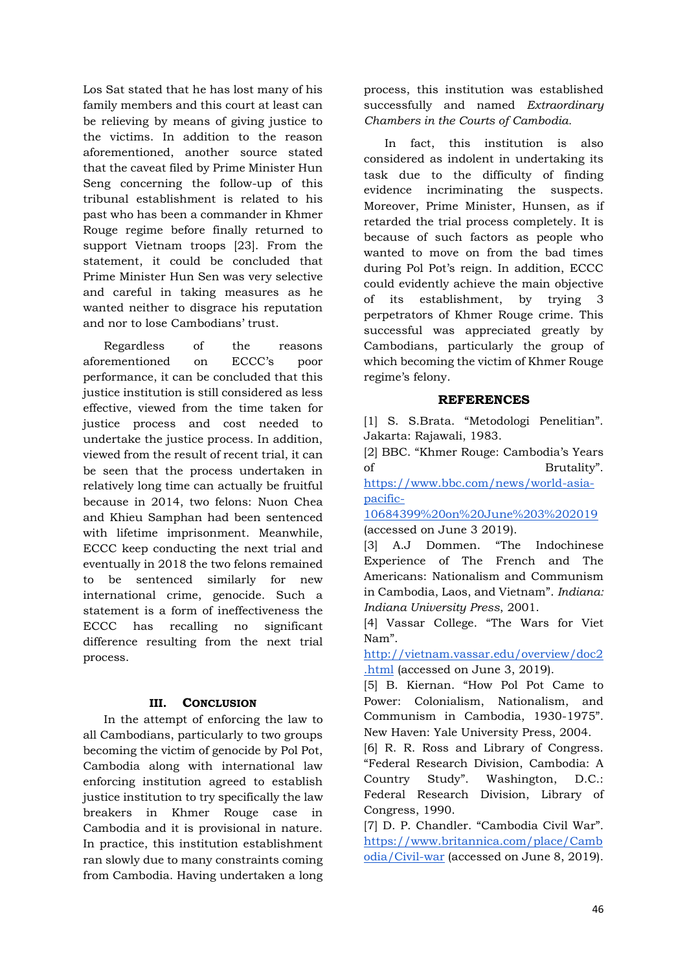Los Sat stated that he has lost many of his family members and this court at least can be relieving by means of giving justice to the victims. In addition to the reason aforementioned, another source stated that the caveat filed by Prime Minister Hun Seng concerning the follow-up of this tribunal establishment is related to his past who has been a commander in Khmer Rouge regime before finally returned to support Vietnam troops [23]. From the statement, it could be concluded that Prime Minister Hun Sen was very selective and careful in taking measures as he wanted neither to disgrace his reputation and nor to lose Cambodians' trust.

Regardless of the reasons aforementioned on ECCC's poor performance, it can be concluded that this justice institution is still considered as less effective, viewed from the time taken for justice process and cost needed to undertake the justice process. In addition, viewed from the result of recent trial, it can be seen that the process undertaken in relatively long time can actually be fruitful because in 2014, two felons: Nuon Chea and Khieu Samphan had been sentenced with lifetime imprisonment. Meanwhile, ECCC keep conducting the next trial and eventually in 2018 the two felons remained to be sentenced similarly for new international crime, genocide. Such a statement is a form of ineffectiveness the ECCC has recalling no significant difference resulting from the next trial process.

#### **III. CONCLUSION**

In the attempt of enforcing the law to all Cambodians, particularly to two groups becoming the victim of genocide by Pol Pot, Cambodia along with international law enforcing institution agreed to establish justice institution to try specifically the law breakers in Khmer Rouge case in Cambodia and it is provisional in nature. In practice, this institution establishment ran slowly due to many constraints coming from Cambodia. Having undertaken a long process, this institution was established successfully and named *Extraordinary Chambers in the Courts of Cambodia.*

In fact, this institution is also considered as indolent in undertaking its task due to the difficulty of finding evidence incriminating the suspects. Moreover, Prime Minister, Hunsen, as if retarded the trial process completely. It is because of such factors as people who wanted to move on from the bad times during Pol Pot's reign. In addition, ECCC could evidently achieve the main objective of its establishment, by trying 3 perpetrators of Khmer Rouge crime. This successful was appreciated greatly by Cambodians, particularly the group of which becoming the victim of Khmer Rouge regime's felony.

#### **REFERENCES**

[1] S. S.Brata. "Metodologi Penelitian". Jakarta: Rajawali, 1983.

[2] BBC. "Khmer Rouge: Cambodia's Years of Brutality".

[https://www.bbc.com/news/world-asia](https://www.bbc.com/news/world-asia-pacific-10684399%20on%20June%203%202019)[pacific-](https://www.bbc.com/news/world-asia-pacific-10684399%20on%20June%203%202019)

[10684399%20on%20June%203%202019](https://www.bbc.com/news/world-asia-pacific-10684399%20on%20June%203%202019) (accessed [on June 3 2019\)](https://www.bbc.com/news/world-asia-pacific-10684399%20on%20June%203%202019).

[3] A.J Dommen. "The Indochinese Experience of The French and The Americans: Nationalism and Communism in Cambodia, Laos, and Vietnam". *Indiana: Indiana University Press*, 2001.

[4] Vassar College. "The Wars for Viet Nam".

[http://vietnam.vassar.edu/overview/doc2](http://vietnam.vassar.edu/overview/doc2.html) [.html](http://vietnam.vassar.edu/overview/doc2.html) (accessed on June 3, 2019).

[5] B. Kiernan. "How Pol Pot Came to Power: Colonialism, Nationalism, and Communism in Cambodia, 1930-1975". New Haven: Yale University Press, 2004.

[6] R. R. Ross and Library of Congress. "Federal Research Division, Cambodia: A Country Study". Washington, D.C.: Federal Research Division, Library of Congress, 1990.

[7] D. P. Chandler. "Cambodia Civil War". [https://www.britannica.com/place/Camb](https://www.britannica.com/place/Cambodia/Civil-war) [odia/Civil-war](https://www.britannica.com/place/Cambodia/Civil-war) (accessed on June 8, 2019).